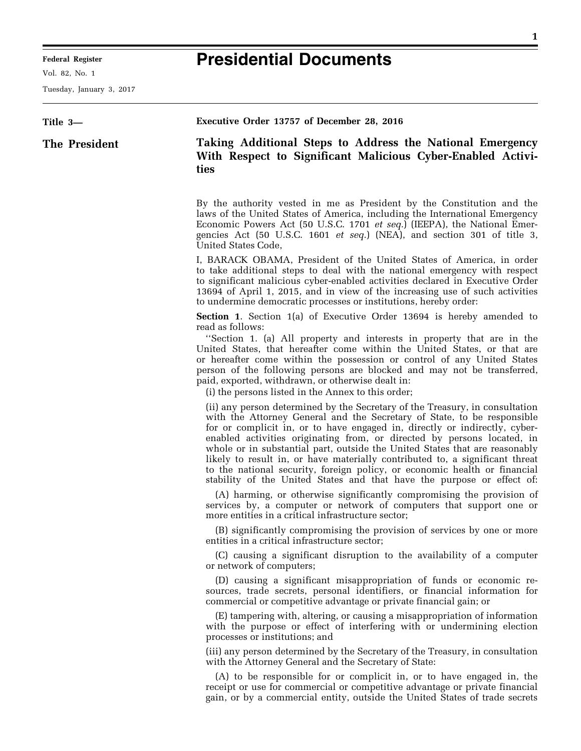## **Presidential Documents**

Tuesday, January 3, 2017

| Title 3-      | Executive Order 13757 of December 28, 2016                                                                                                                                                                                                                                                                                                                                                                                                                                                                                                                                                                                             |
|---------------|----------------------------------------------------------------------------------------------------------------------------------------------------------------------------------------------------------------------------------------------------------------------------------------------------------------------------------------------------------------------------------------------------------------------------------------------------------------------------------------------------------------------------------------------------------------------------------------------------------------------------------------|
| The President | Taking Additional Steps to Address the National Emergency<br>With Respect to Significant Malicious Cyber-Enabled Activi-<br>ties                                                                                                                                                                                                                                                                                                                                                                                                                                                                                                       |
|               | By the authority vested in me as President by the Constitution and the<br>laws of the United States of America, including the International Emergency<br>Economic Powers Act (50 U.S.C. 1701 et seq.) (IEEPA), the National Emer-<br>gencies Act (50 U.S.C. 1601 <i>et seq.</i> ) (NEA), and section 301 of title 3,<br>United States Code,                                                                                                                                                                                                                                                                                            |
|               | I, BARACK OBAMA, President of the United States of America, in order<br>to take additional steps to deal with the national emergency with respect<br>to significant malicious cyber-enabled activities declared in Executive Order<br>13694 of April 1, 2015, and in view of the increasing use of such activities<br>to undermine democratic processes or institutions, hereby order:                                                                                                                                                                                                                                                 |
|               | <b>Section 1.</b> Section 1(a) of Executive Order 13694 is hereby amended to<br>read as follows:<br>"Section 1. (a) All property and interests in property that are in the<br>United States, that hereafter come within the United States, or that are<br>or hereafter come within the possession or control of any United States<br>person of the following persons are blocked and may not be transferred,<br>paid, exported, withdrawn, or otherwise dealt in:<br>(i) the persons listed in the Annex to this order;                                                                                                                |
|               | (ii) any person determined by the Secretary of the Treasury, in consultation<br>with the Attorney General and the Secretary of State, to be responsible<br>for or complicit in, or to have engaged in, directly or indirectly, cyber-<br>enabled activities originating from, or directed by persons located, in<br>whole or in substantial part, outside the United States that are reasonably<br>likely to result in, or have materially contributed to, a significant threat<br>to the national security, foreign policy, or economic health or financial<br>stability of the United States and that have the purpose or effect of: |
|               | (A) harming, or otherwise significantly compromising the provision of<br>services by, a computer or network of computers that support one or<br>more entities in a critical infrastructure sector;                                                                                                                                                                                                                                                                                                                                                                                                                                     |
|               | (B) significantly compromising the provision of services by one or more<br>entities in a critical infrastructure sector;                                                                                                                                                                                                                                                                                                                                                                                                                                                                                                               |
|               | (C) causing a significant disruption to the availability of a computer<br>or network of computers;                                                                                                                                                                                                                                                                                                                                                                                                                                                                                                                                     |
|               | (D) causing a significant misappropriation of funds or economic re-<br>sources, trade secrets, personal identifiers, or financial information for<br>commercial or competitive advantage or private financial gain; or                                                                                                                                                                                                                                                                                                                                                                                                                 |
|               | (E) tampering with, altering, or causing a misappropriation of information<br>with the purpose or effect of interfering with or undermining election<br>processes or institutions; and                                                                                                                                                                                                                                                                                                                                                                                                                                                 |
|               | (iii) any person determined by the Secretary of the Treasury, in consultation<br>with the Attorney General and the Secretary of State:                                                                                                                                                                                                                                                                                                                                                                                                                                                                                                 |
|               | (A) to be responsible for or complicit in, or to have engaged in, the<br>receipt or use for commercial or competitive advantage or private financial<br>gain, or by a commercial entity, outside the United States of trade secrets                                                                                                                                                                                                                                                                                                                                                                                                    |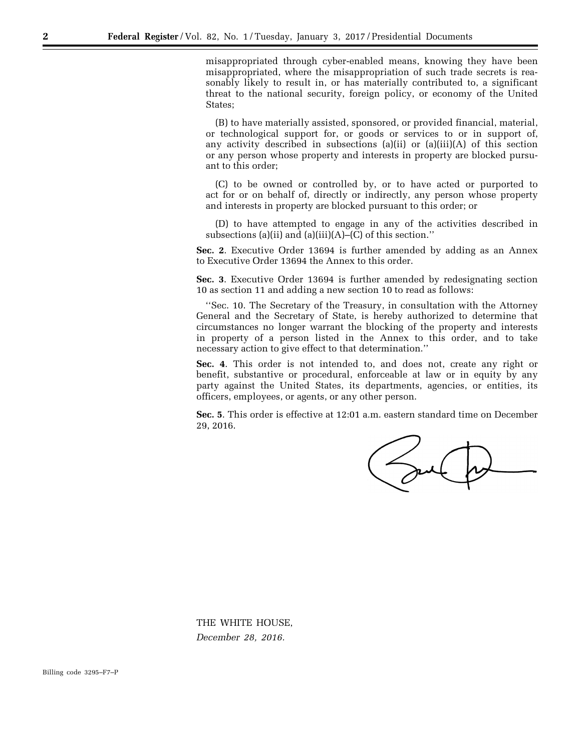misappropriated through cyber-enabled means, knowing they have been misappropriated, where the misappropriation of such trade secrets is reasonably likely to result in, or has materially contributed to, a significant threat to the national security, foreign policy, or economy of the United States;

(B) to have materially assisted, sponsored, or provided financial, material, or technological support for, or goods or services to or in support of, any activity described in subsections (a)(ii) or (a)(iii)(A) of this section or any person whose property and interests in property are blocked pursuant to this order;

(C) to be owned or controlled by, or to have acted or purported to act for or on behalf of, directly or indirectly, any person whose property and interests in property are blocked pursuant to this order; or

(D) to have attempted to engage in any of the activities described in subsections (a)(ii) and (a)(iii)(A)–(C) of this section."

**Sec. 2**. Executive Order 13694 is further amended by adding as an Annex to Executive Order 13694 the Annex to this order.

**Sec. 3**. Executive Order 13694 is further amended by redesignating section 10 as section 11 and adding a new section 10 to read as follows:

''Sec. 10. The Secretary of the Treasury, in consultation with the Attorney General and the Secretary of State, is hereby authorized to determine that circumstances no longer warrant the blocking of the property and interests in property of a person listed in the Annex to this order, and to take necessary action to give effect to that determination.''

**Sec. 4**. This order is not intended to, and does not, create any right or benefit, substantive or procedural, enforceable at law or in equity by any party against the United States, its departments, agencies, or entities, its officers, employees, or agents, or any other person.

**Sec. 5**. This order is effective at 12:01 a.m. eastern standard time on December 29, 2016.

Sport

THE WHITE HOUSE, *December 28, 2016.*